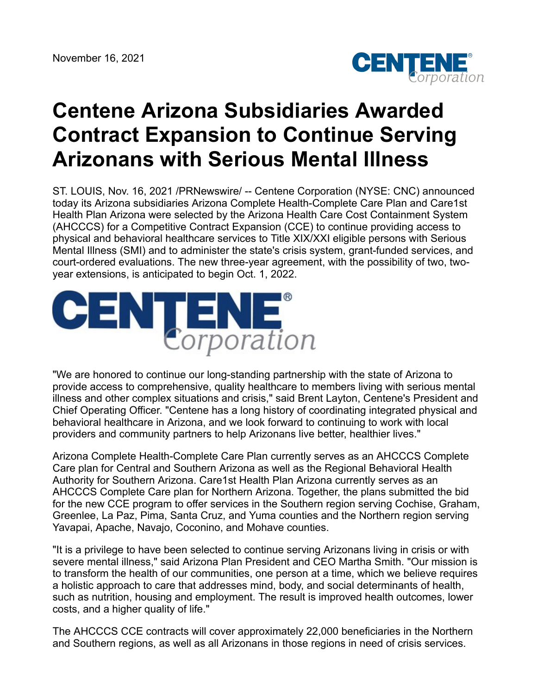

## **Centene Arizona Subsidiaries Awarded Contract Expansion to Continue Serving Arizonans with Serious Mental Illness**

ST. LOUIS, Nov. 16, 2021 /PRNewswire/ -- Centene Corporation (NYSE: CNC) announced today its Arizona subsidiaries Arizona Complete Health-Complete Care Plan and Care1st Health Plan Arizona were selected by the Arizona Health Care Cost Containment System (AHCCCS) for a Competitive Contract Expansion (CCE) to continue providing access to physical and behavioral healthcare services to Title XIX/XXI eligible persons with Serious Mental Illness (SMI) and to administer the state's crisis system, grant-funded services, and court-ordered evaluations. The new three-year agreement, with the possibility of two, twoyear extensions, is anticipated to begin Oct. 1, 2022.



"We are honored to continue our long-standing partnership with the state of Arizona to provide access to comprehensive, quality healthcare to members living with serious mental illness and other complex situations and crisis," said Brent Layton, Centene's President and Chief Operating Officer. "Centene has a long history of coordinating integrated physical and behavioral healthcare in Arizona, and we look forward to continuing to work with local providers and community partners to help Arizonans live better, healthier lives."

Arizona Complete Health-Complete Care Plan currently serves as an AHCCCS Complete Care plan for Central and Southern Arizona as well as the Regional Behavioral Health Authority for Southern Arizona. Care1st Health Plan Arizona currently serves as an AHCCCS Complete Care plan for Northern Arizona. Together, the plans submitted the bid for the new CCE program to offer services in the Southern region serving Cochise, Graham, Greenlee, La Paz, Pima, Santa Cruz, and Yuma counties and the Northern region serving Yavapai, Apache, Navajo, Coconino, and Mohave counties.

"It is a privilege to have been selected to continue serving Arizonans living in crisis or with severe mental illness," said Arizona Plan President and CEO Martha Smith. "Our mission is to transform the health of our communities, one person at a time, which we believe requires a holistic approach to care that addresses mind, body, and social determinants of health, such as nutrition, housing and employment. The result is improved health outcomes, lower costs, and a higher quality of life."

The AHCCCS CCE contracts will cover approximately 22,000 beneficiaries in the Northern and Southern regions, as well as all Arizonans in those regions in need of crisis services.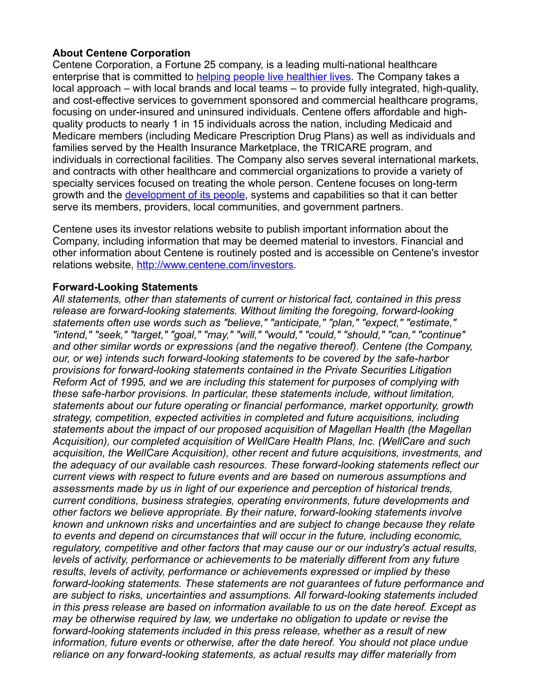## **About Centene Corporation**

Centene Corporation, a Fortune 25 company, is a leading multi-national healthcare enterprise that is committed to [helping people live healthier lives](https://urldefense.com/v3/__https:/www.youtube.com/user/CenteneCorp__;!!Js732Vmb!4K62SFNNVkkJTmGjXi5yYxFS_P41WUBjaIyvMTuSe5oK5E_MYPLl1YxuNP1yYeU%24). The Company takes a local approach – with local brands and local teams – to provide fully integrated, high-quality, and cost-effective services to government sponsored and commercial healthcare programs, focusing on under-insured and uninsured individuals. Centene offers affordable and highquality products to nearly 1 in 15 individuals across the nation, including Medicaid and Medicare members (including Medicare Prescription Drug Plans) as well as individuals and families served by the Health Insurance Marketplace, the TRICARE program, and individuals in correctional facilities. The Company also serves several international markets, and contracts with other healthcare and commercial organizations to provide a variety of specialty services focused on treating the whole person. Centene focuses on long-term growth and the [development of its people,](https://jobs.centene.com/us/en) systems and capabilities so that it can better serve its members, providers, local communities, and government partners.

Centene uses its investor relations website to publish important information about the Company, including information that may be deemed material to investors. Financial and other information about Centene is routinely posted and is accessible on Centene's investor relations website, <http://www.centene.com/investors>.

## **Forward-Looking Statements**

*All statements, other than statements of current or historical fact, contained in this press release are forward-looking statements. Without limiting the foregoing, forward-looking statements often use words such as "believe," "anticipate," "plan," "expect," "estimate," "intend," "seek," "target," "goal," "may," "will," "would," "could," "should," "can," "continue" and other similar words or expressions (and the negative thereof). Centene (the Company, our, or we) intends such forward-looking statements to be covered by the safe-harbor provisions for forward-looking statements contained in the Private Securities Litigation Reform Act of 1995, and we are including this statement for purposes of complying with these safe-harbor provisions. In particular, these statements include, without limitation, statements about our future operating or financial performance, market opportunity, growth strategy, competition, expected activities in completed and future acquisitions, including statements about the impact of our proposed acquisition of Magellan Health (the Magellan Acquisition), our completed acquisition of WellCare Health Plans, Inc. (WellCare and such acquisition, the WellCare Acquisition), other recent and future acquisitions, investments, and the adequacy of our available cash resources. These forward-looking statements reflect our current views with respect to future events and are based on numerous assumptions and assessments made by us in light of our experience and perception of historical trends, current conditions, business strategies, operating environments, future developments and other factors we believe appropriate. By their nature, forward-looking statements involve known and unknown risks and uncertainties and are subject to change because they relate to events and depend on circumstances that will occur in the future, including economic, regulatory, competitive and other factors that may cause our or our industry's actual results, levels of activity, performance or achievements to be materially different from any future results, levels of activity, performance or achievements expressed or implied by these forward-looking statements. These statements are not guarantees of future performance and are subject to risks, uncertainties and assumptions. All forward-looking statements included in this press release are based on information available to us on the date hereof. Except as may be otherwise required by law, we undertake no obligation to update or revise the forward-looking statements included in this press release, whether as a result of new information, future events or otherwise, after the date hereof. You should not place undue reliance on any forward-looking statements, as actual results may differ materially from*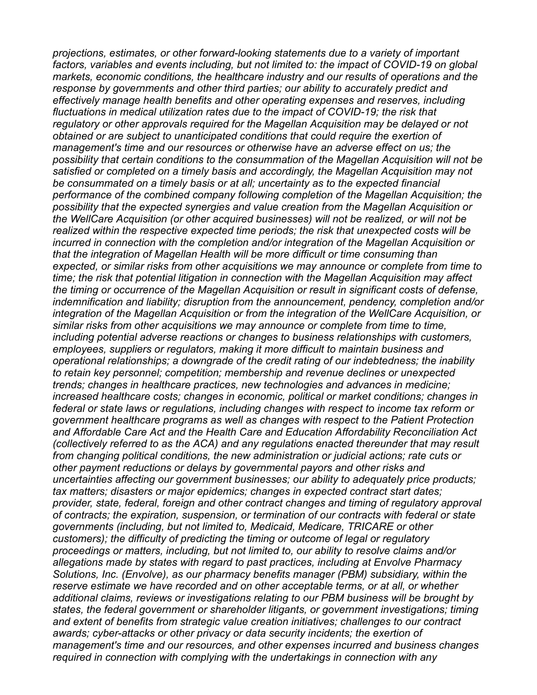*projections, estimates, or other forward-looking statements due to a variety of important factors, variables and events including, but not limited to: the impact of COVID-19 on global markets, economic conditions, the healthcare industry and our results of operations and the response by governments and other third parties; our ability to accurately predict and effectively manage health benefits and other operating expenses and reserves, including fluctuations in medical utilization rates due to the impact of COVID-19; the risk that regulatory or other approvals required for the Magellan Acquisition may be delayed or not obtained or are subject to unanticipated conditions that could require the exertion of management's time and our resources or otherwise have an adverse effect on us; the possibility that certain conditions to the consummation of the Magellan Acquisition will not be satisfied or completed on a timely basis and accordingly, the Magellan Acquisition may not be consummated on a timely basis or at all; uncertainty as to the expected financial performance of the combined company following completion of the Magellan Acquisition; the possibility that the expected synergies and value creation from the Magellan Acquisition or the WellCare Acquisition (or other acquired businesses) will not be realized, or will not be realized within the respective expected time periods; the risk that unexpected costs will be incurred in connection with the completion and/or integration of the Magellan Acquisition or that the integration of Magellan Health will be more difficult or time consuming than expected, or similar risks from other acquisitions we may announce or complete from time to time; the risk that potential litigation in connection with the Magellan Acquisition may affect the timing or occurrence of the Magellan Acquisition or result in significant costs of defense, indemnification and liability; disruption from the announcement, pendency, completion and/or integration of the Magellan Acquisition or from the integration of the WellCare Acquisition, or similar risks from other acquisitions we may announce or complete from time to time, including potential adverse reactions or changes to business relationships with customers, employees, suppliers or regulators, making it more difficult to maintain business and operational relationships; a downgrade of the credit rating of our indebtedness; the inability to retain key personnel; competition; membership and revenue declines or unexpected trends; changes in healthcare practices, new technologies and advances in medicine; increased healthcare costs; changes in economic, political or market conditions; changes in federal or state laws or regulations, including changes with respect to income tax reform or government healthcare programs as well as changes with respect to the Patient Protection and Affordable Care Act and the Health Care and Education Affordability Reconciliation Act (collectively referred to as the ACA) and any regulations enacted thereunder that may result from changing political conditions, the new administration or judicial actions; rate cuts or other payment reductions or delays by governmental payors and other risks and uncertainties affecting our government businesses; our ability to adequately price products; tax matters; disasters or major epidemics; changes in expected contract start dates; provider, state, federal, foreign and other contract changes and timing of regulatory approval of contracts; the expiration, suspension, or termination of our contracts with federal or state governments (including, but not limited to, Medicaid, Medicare, TRICARE or other customers); the difficulty of predicting the timing or outcome of legal or regulatory proceedings or matters, including, but not limited to, our ability to resolve claims and/or allegations made by states with regard to past practices, including at Envolve Pharmacy Solutions, Inc. (Envolve), as our pharmacy benefits manager (PBM) subsidiary, within the reserve estimate we have recorded and on other acceptable terms, or at all, or whether additional claims, reviews or investigations relating to our PBM business will be brought by states, the federal government or shareholder litigants, or government investigations; timing and extent of benefits from strategic value creation initiatives; challenges to our contract awards; cyber-attacks or other privacy or data security incidents; the exertion of management's time and our resources, and other expenses incurred and business changes required in connection with complying with the undertakings in connection with any*